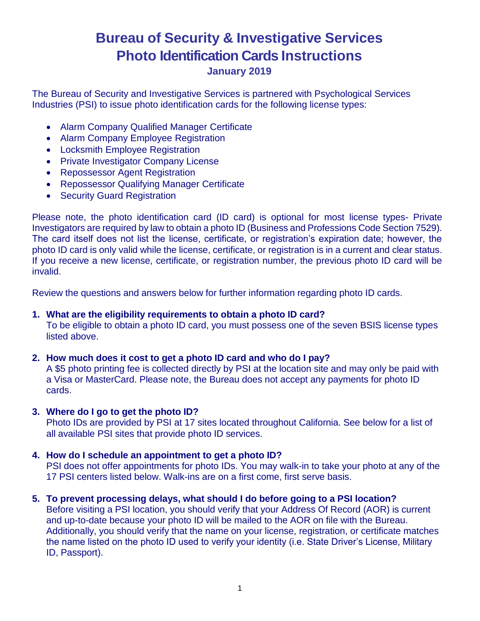# **Bureau of Security & Investigative Services Photo Identification Cards Instructions**

# **January 2019**

The Bureau of Security and Investigative Services is partnered with Psychological Services Industries (PSI) to issue photo identification cards for the following license types:

- Alarm Company Qualified Manager Certificate
- Alarm Company Employee Registration
- Locksmith Employee Registration
- Private Investigator Company License
- Repossessor Agent Registration
- Repossessor Qualifying Manager Certificate
- Security Guard Registration

Please note, the photo identification card (ID card) is optional for most license types- Private Investigators are required by law to obtain a photo ID (Business and Professions Code Section 7529). The card itself does not list the license, certificate, or registration's expiration date; however, the photo ID card is only valid while the license, certificate, or registration is in a current and clear status. If you receive a new license, certificate, or registration number, the previous photo ID card will be invalid.

Review the questions and answers below for further information regarding photo ID cards.

## **1. What are the eligibility requirements to obtain a photo ID card?**

To be eligible to obtain a photo ID card, you must possess one of the seven BSIS license types listed above.

# **2. How much does it cost to get a photo ID card and who do I pay?**

A \$5 photo printing fee is collected directly by PSI at the location site and may only be paid with a Visa or MasterCard. Please note, the Bureau does not accept any payments for photo ID cards.

## **3. Where do I go to get the photo ID?**

Photo IDs are provided by PSI at 17 sites located throughout California. See below for a list of all available PSI sites that provide photo ID services.

# **4. How do I schedule an appointment to get a photo ID?**

PSI does not offer appointments for photo IDs. You may walk-in to take your photo at any of the 17 PSI centers listed below. Walk-ins are on a first come, first serve basis.

# **5. To prevent processing delays, what should I do before going to a PSI location?**

Before visiting a PSI location, you should verify that your Address Of Record (AOR) is current and up-to-date because your photo ID will be mailed to the AOR on file with the Bureau. Additionally, you should verify that the name on your license, registration, or certificate matches the name listed on the photo ID used to verify your identity (i.e. State Driver's License, Military ID, Passport).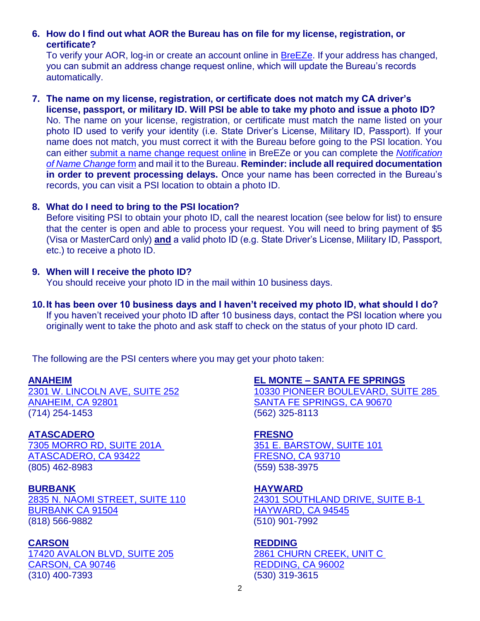## **6. How do I find out what AOR the Bureau has on file for my license, registration, or certificate?**

To verify your AOR, log-in or create an account online in [BreEZe.](https://www.breeze.ca.gov/) If your address has changed, you can submit an address change request online, which will update the Bureau's records automatically.

**7. The name on my license, registration, or certificate does not match my CA driver's license, passport, or military ID. Will PSI be able to take my photo and issue a photo ID?**  No. The name on your license, registration, or certificate must match the name listed on your photo ID used to verify your identity (i.e. State Driver's License, Military ID, Passport). If your name does not match, you must correct it with the Bureau before going to the PSI location. You can either [submit a name change request online](https://www.breeze.ca.gov/) in BreEZe or you can complete the *[Notification](https://www.bsis.ca.gov/forms_pubs/personal_namechange.pdf)  [of Name Change](https://www.bsis.ca.gov/forms_pubs/personal_namechange.pdf)* form and mail it to the Bureau. **Reminder: include all required documentation in order to prevent processing delays.** Once your name has been corrected in the Bureau's records, you can visit a PSI location to obtain a photo ID.

## **8. What do I need to bring to the PSI location?**

Before visiting PSI to obtain your photo ID, call the nearest location (see below for list) to ensure that the center is open and able to process your request. You will need to bring payment of \$5 (Visa or MasterCard only) **and** a valid photo ID (e.g. State Driver's License, Military ID, Passport, etc.) to receive a photo ID.

## **9. When will I receive the photo ID?**

You should receive your photo ID in the mail within 10 business days.

**10.It has been over 10 business days and I haven't received my photo ID, what should I do?**  If you haven't received your photo ID after 10 business days, contact the PSI location where you originally went to take the photo and ask staff to check on the status of your photo ID card.

The following are the PSI centers where you may get your photo taken:

## **ANAHEIM**

[2301 W. LINCOLN AVE, SUITE 252](https://www.google.com/maps/place/2301+W+Lincoln+Ave+%23252,+Anaheim,+CA+92801/@33.8329974,-117.9660333,17z/data=!3m1!4b1!4m5!3m4!1s0x80dd29991283c61f:0xa6275bbdd289325e!8m2!3d33.8329974!4d-117.9638446) [ANAHEIM, CA 92801](https://www.google.com/maps/place/2301+W+Lincoln+Ave+%23252,+Anaheim,+CA+92801/@33.8329974,-117.9660333,17z/data=!3m1!4b1!4m5!3m4!1s0x80dd29991283c61f:0xa6275bbdd289325e!8m2!3d33.8329974!4d-117.9638446) (714) 254-1453

## **ATASCADERO**

[7305 MORRO RD,](https://www.google.com/maps/place/7305+Morro+Rd+%23201A,+Atascadero,+CA+93422/@35.4782803,-120.6675617,417m/data=!3m1!1e3!4m5!3m4!1s0x80ece82cb702821d:0x24e73797dd022b61!8m2!3d35.4786682!4d-120.6664986) SUITE 201A [ATASCADERO, CA 93422](https://www.google.com/maps/place/7305+Morro+Rd+%23201A,+Atascadero,+CA+93422/@35.4782803,-120.6675617,417m/data=!3m1!1e3!4m5!3m4!1s0x80ece82cb702821d:0x24e73797dd022b61!8m2!3d35.4786682!4d-120.6664986) (805) 462-8983

**BURBANK** [2835 N. NAOMI STREET, SUITE 110](https://www.google.com/maps/place/2835+N+Naomi+St+%23110,+Burbank,+CA+91504/@34.2047428,-118.3404875,712m/data=!3m2!1e3!4b1!4m5!3m4!1s0x80c295017ef421bb:0xf88957717ea2bd03!8m2!3d34.2047428!4d-118.3404875) [BURBANK](https://www.google.com/maps/place/2835+N+Naomi+St+%23110,+Burbank,+CA+91504/@34.2047428,-118.3404875,712m/data=!3m2!1e3!4b1!4m5!3m4!1s0x80c295017ef421bb:0xf88957717ea2bd03!8m2!3d34.2047428!4d-118.3404875) CA 91504 (818) 566-9882

## **CARSON**

[17420 AVALON BLVD, SUITE 205](https://www.google.com/maps/place/17420+S+Avalon+Blvd+%23205,+Carson,+CA+90746/@33.8727819,-118.2654073,715m/data=!3m2!1e3!4b1!4m5!3m4!1s0x80c2cac4a712b997:0x58dee5dbbfa4c1c5!8m2!3d33.8727819!4d-118.2654073) [CARSON, CA 90746](https://www.google.com/maps/place/17420+S+Avalon+Blvd+%23205,+Carson,+CA+90746/@33.8727819,-118.2654073,715m/data=!3m2!1e3!4b1!4m5!3m4!1s0x80c2cac4a712b997:0x58dee5dbbfa4c1c5!8m2!3d33.8727819!4d-118.2654073) (310) 400-7393

#### **EL MONTE – SANTA FE SPRINGS**

[10330 PIONEER BOULEVARD, SUITE 285](https://www.google.com/maps/place/10330+Pioneer+Blvd+%23285,+Santa+Fe+Springs,+CA+90670/@33.9424757,-118.0813118,715m/data=!3m2!1e3!4b1!4m5!3m4!1s0x80c2d2f64485bc35:0x7e03d0ac12a51c11!8m2!3d33.9424757!4d-118.0813118)  [SANTA FE SPRINGS, CA 90670](https://www.google.com/maps/place/10330+Pioneer+Blvd+%23285,+Santa+Fe+Springs,+CA+90670/@33.9424757,-118.0813118,715m/data=!3m2!1e3!4b1!4m5!3m4!1s0x80c2d2f64485bc35:0x7e03d0ac12a51c11!8m2!3d33.9424757!4d-118.0813118) (562) 325-8113

#### **FRESNO**

[351 E. BARSTOW, SUITE 101](https://www.google.com/maps/place/351+E+Barstow+Ave+%23101,+Fresno,+CA+93710/@36.8152817,-119.7824345,690m/data=!3m2!1e3!4b1!4m5!3m4!1s0x80945d673775975f:0xe982eee81b43667d!8m2!3d36.8152817!4d-119.7824345) [FRESNO, CA 93710](https://www.google.com/maps/place/351+E+Barstow+Ave+%23101,+Fresno,+CA+93710/@36.8152817,-119.7824345,690m/data=!3m2!1e3!4b1!4m5!3m4!1s0x80945d673775975f:0xe982eee81b43667d!8m2!3d36.8152817!4d-119.7824345) (559) 538-3975

## **HAYWARD**

[24301 SOUTHLAND DRIVE, SUITE B-1](https://www.google.com/maps?q=24301+SOUTHLAND+DRIVE,+SUITE+B-1+HAYWARD,+CA+94545&rlz=1C1GCEB_enUS819US819&um=1&ie=UTF-8&sa=X&ved=0ahUKEwjljL_4joffAhUOHDQIHQUSDVoQ_AUIDigB)  [HAYWARD, CA 94545](https://www.google.com/maps?q=24301+SOUTHLAND+DRIVE,+SUITE+B-1+HAYWARD,+CA+94545&rlz=1C1GCEB_enUS819US819&um=1&ie=UTF-8&sa=X&ved=0ahUKEwjljL_4joffAhUOHDQIHQUSDVoQ_AUIDigB) (510) 901-7992

## **REDDING**

[2861 CHURN CREEK, UNIT C](https://www.google.com/maps/place/2861+Churn+Creek+Rd+UNIT+C,+Redding,+CA+96002/@40.5661089,-122.3523488,17z/data=!3m1!4b1!4m5!3m4!1s0x54d2eca46e5365b9:0xefb058b56f58aedd!8m2!3d40.5661089!4d-122.3523488)  [REDDING, CA 96002](https://www.google.com/maps/place/2861+Churn+Creek+Rd+UNIT+C,+Redding,+CA+96002/@40.5661089,-122.3523488,17z/data=!3m1!4b1!4m5!3m4!1s0x54d2eca46e5365b9:0xefb058b56f58aedd!8m2!3d40.5661089!4d-122.3523488) (530) 319-3615